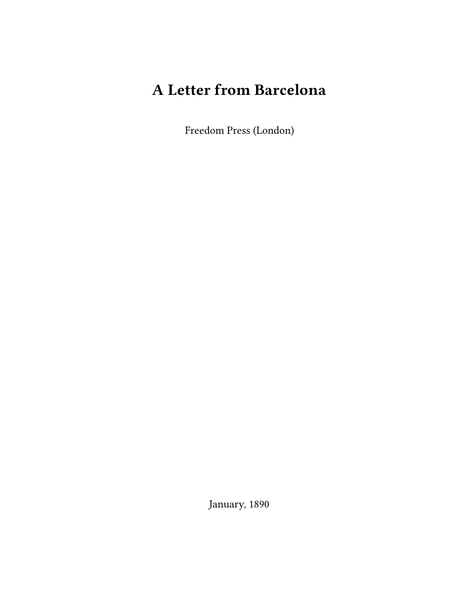## **A Letter from Barcelona**

Freedom Press (London)

January, 1890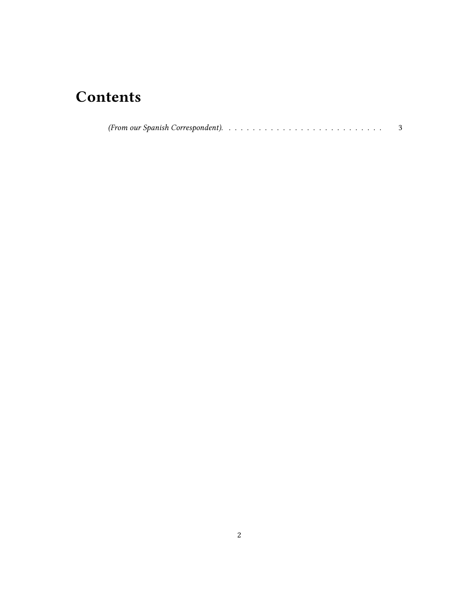## **Contents**

|--|--|--|--|--|--|--|--|--|--|--|--|--|--|--|--|--|--|--|--|--|--|--|--|--|--|--|--|--|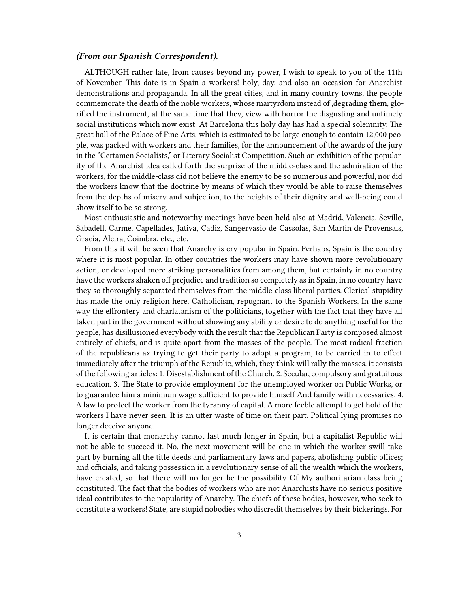## <span id="page-2-0"></span>*(From our Spanish Correspondent).*

ALTHOUGH rather late, from causes beyond my power, I wish to speak to you of the 11th of November. This date is in Spain a workers! holy, day, and also an occasion for Anarchist demonstrations and propaganda. In all the great cities, and in many country towns, the people commemorate the death of the noble workers, whose martyrdom instead of ,degrading them, glorified the instrument, at the same time that they, view with horror the disgusting and untimely social institutions which now exist. At Barcelona this holy day has had a special solemnity. The great hall of the Palace of Fine Arts, which is estimated to be large enough to contain 12,000 people, was packed with workers and their families, for the announcement of the awards of the jury in the "Certamen Socialists," or Literary Socialist Competition. Such an exhibition of the popularity of the Anarchist idea called forth the surprise of the middle-class and the admiration of the workers, for the middle-class did not believe the enemy to be so numerous and powerful, nor did the workers know that the doctrine by means of which they would be able to raise themselves from the depths of misery and subjection, to the heights of their dignity and well-being could show itself to be so strong.

Most enthusiastic and noteworthy meetings have been held also at Madrid, Valencia, Seville, Sabadell, Carme, Capellades, Jativa, Cadiz, Sangervasio de Cassolas, San Martin de Provensals, Gracia, Alcira, Coimbra, etc., etc.

From this it will be seen that Anarchy is cry popular in Spain. Perhaps, Spain is the country where it is most popular. In other countries the workers may have shown more revolutionary action, or developed more striking personalities from among them, but certainly in no country have the workers shaken off prejudice and tradition so completely as in Spain, in no country have they so thoroughly separated themselves from the middle-class liberal parties. Clerical stupidity has made the only religion here, Catholicism, repugnant to the Spanish Workers. In the same way the effrontery and charlatanism of the politicians, together with the fact that they have all taken part in the government without showing any ability or desire to do anything useful for the people, has disillusioned everybody with the result that the Republican Party is composed almost entirely of chiefs, and is quite apart from the masses of the people. The most radical fraction of the republicans ax trying to get their party to adopt a program, to be carried in to effect immediately after the triumph of the Republic, which, they think will rally the masses. it consists of the following articles: 1. Disestablishment of the Church. 2. Secular, compulsory and gratuitous education. 3. The State to provide employment for the unemployed worker on Public Works, or to guarantee him a minimum wage sufficient to provide himself And family with necessaries. 4. A law to protect the worker from the tyranny of capital. A more feeble attempt to get hold of the workers I have never seen. It is an utter waste of time on their part. Political lying promises no longer deceive anyone.

It is certain that monarchy cannot last much longer in Spain, but a capitalist Republic will not be able to succeed it. No, the next movement will be one in which the worker swill take part by burning all the title deeds and parliamentary laws and papers, abolishing public offices; and officials, and taking possession in a revolutionary sense of all the wealth which the workers, have created, so that there will no longer be the possibility Of My authoritarian class being constituted. The fact that the bodies of workers who are not Anarchists have no serious positive ideal contributes to the popularity of Anarchy. The chiefs of these bodies, however, who seek to constitute a workers! State, are stupid nobodies who discredit themselves by their bickerings. For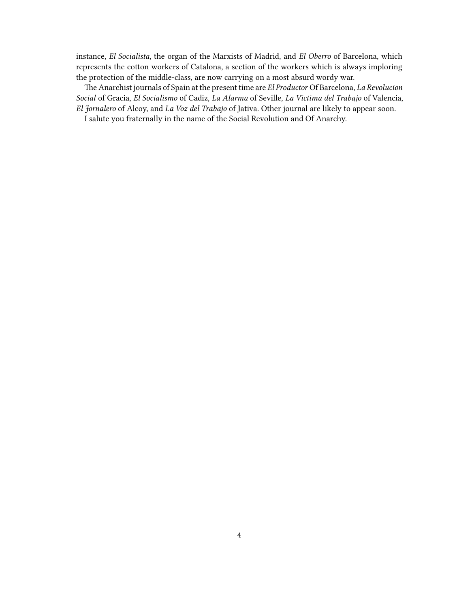instance, *El Socialista*, the organ of the Marxists of Madrid, and *El Oberro* of Barcelona, which represents the cotton workers of Catalona, a section of the workers which is always imploring the protection of the middle-class, are now carrying on a most absurd wordy war.

The Anarchist journals of Spain at the present time are *El Productor* Of Barcelona, *La Revolucion Social* of Gracia, *El Socialismo* of Cadiz, *La Alarma* of Seville, *La Victima del Trabajo* of Valencia, *El Jornalero* of Alcoy, and *La Voz del Trabajo* of Jativa. Other journal are likely to appear soon.

I salute you fraternally in the name of the Social Revolution and Of Anarchy.